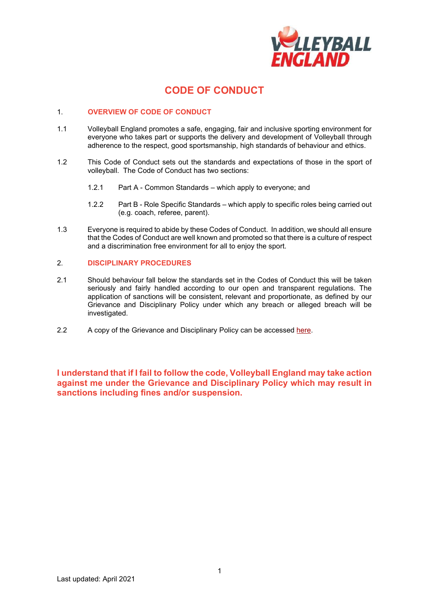

## **CODE OF CONDUCT**

#### 1. **OVERVIEW OF CODE OF CONDUCT**

- 1.1 Volleyball England promotes a safe, engaging, fair and inclusive sporting environment for everyone who takes part or supports the delivery and development of Volleyball through adherence to the respect, good sportsmanship, high standards of behaviour and ethics.
- 1.2 This Code of Conduct sets out the standards and expectations of those in the sport of volleyball. The Code of Conduct has two sections:
	- 1.2.1 Part A Common Standards which apply to everyone; and
	- 1.2.2 Part B Role Specific Standards which apply to specific roles being carried out (e.g. coach, referee, parent).
- 1.3 Everyone is required to abide by these Codes of Conduct. In addition, we should all ensure that the Codes of Conduct are well known and promoted so that there is a culture of respect and a discrimination free environment for all to enjoy the sport.

#### 2. **DISCIPLINARY PROCEDURES**

- 2.1 Should behaviour fall below the standards set in the Codes of Conduct this will be taken seriously and fairly handled according to our open and transparent regulations. The application of sanctions will be consistent, relevant and proportionate, as defined by our Grievance and Disciplinary Policy under which any breach or alleged breach will be investigated.
- 2.2 A copy of the Grievance and Disciplinary Policy can be accessed [here.](https://www.volleyballengland.org/about_us/about_us_/governance)

**I understand that if I fail to follow the code, Volleyball England may take action against me under the Grievance and Disciplinary Policy which may result in sanctions including fines and/or suspension.**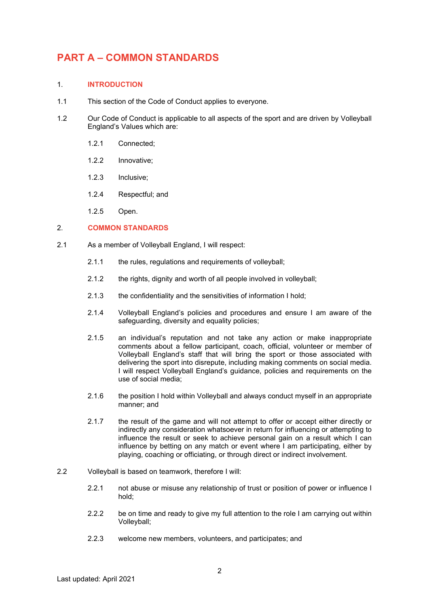# **PART A – COMMON STANDARDS**

### 1. **INTRODUCTION**

- 1.1 This section of the Code of Conduct applies to everyone.
- 1.2 Our Code of Conduct is applicable to all aspects of the sport and are driven by Volleyball England's Values which are:
	- 1.2.1 Connected;
	- 1.2.2 Innovative;
	- 1.2.3 Inclusive;
	- 1.2.4 Respectful; and
	- 1.2.5 Open.

#### 2. **COMMON STANDARDS**

- 2.1 As a member of Volleyball England, I will respect:
	- 2.1.1 the rules, regulations and requirements of volleyball;
	- 2.1.2 the rights, dignity and worth of all people involved in volleyball;
	- 2.1.3 the confidentiality and the sensitivities of information I hold;
	- 2.1.4 Volleyball England's policies and procedures and ensure I am aware of the safeguarding, diversity and equality policies;
	- 2.1.5 an individual's reputation and not take any action or make inappropriate comments about a fellow participant, coach, official, volunteer or member of Volleyball England's staff that will bring the sport or those associated with delivering the sport into disrepute, including making comments on social media. I will respect Volleyball England's guidance, policies and requirements on the use of social media;
	- 2.1.6 the position I hold within Volleyball and always conduct myself in an appropriate manner; and
	- 2.1.7 the result of the game and will not attempt to offer or accept either directly or indirectly any consideration whatsoever in return for influencing or attempting to influence the result or seek to achieve personal gain on a result which I can influence by betting on any match or event where I am participating, either by playing, coaching or officiating, or through direct or indirect involvement.
- 2.2 Volleyball is based on teamwork, therefore I will:
	- 2.2.1 not abuse or misuse any relationship of trust or position of power or influence I hold;
	- 2.2.2 be on time and ready to give my full attention to the role I am carrying out within Volleyball;
	- 2.2.3 welcome new members, volunteers, and participates; and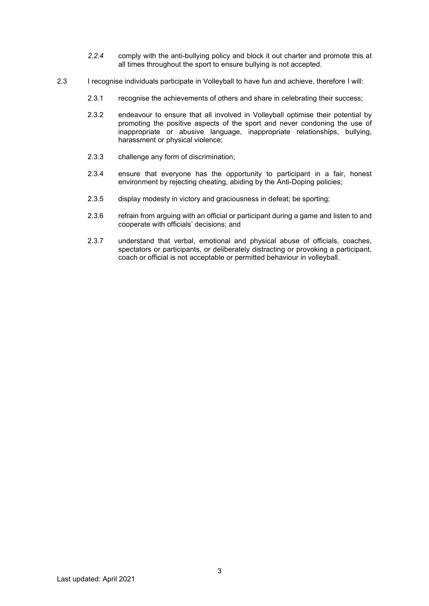- *2.2.4* comply with the anti-bullying policy and block it out charter and promote this at all times throughout the sport to ensure bullying is not accepted.
- 2.3 I recognise individuals participate in Volleyball to have fun and achieve, therefore I will:
	- 2.3.1 recognise the achievements of others and share in celebrating their success;
	- 2.3.2 endeavour to ensure that all involved in Volleyball optimise their potential by promoting the positive aspects of the sport and never condoning the use of inappropriate or abusive language, inappropriate relationships, bullying, harassment or physical violence;
	- 2.3.3 challenge any form of discrimination;
	- 2.3.4 ensure that everyone has the opportunity to participant in a fair, honest environment by rejecting cheating, abiding by the Anti-Doping policies;
	- 2.3.5 display modesty in victory and graciousness in defeat; be sporting;
	- 2.3.6 refrain from arguing with an official or participant during a game and listen to and cooperate with officials' decisions; and
	- 2.3.7 understand that verbal, emotional and physical abuse of officials, coaches, spectators or participants, or deliberately distracting or provoking a participant, coach or official is not acceptable or permitted behaviour in volleyball.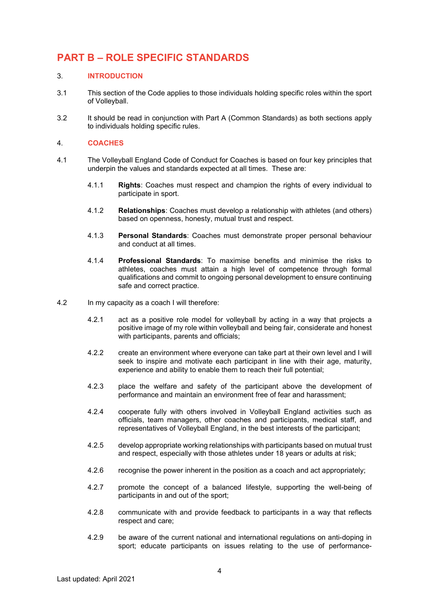# **PART B – ROLE SPECIFIC STANDARDS**

#### 3. **INTRODUCTION**

- 3.1 This section of the Code applies to those individuals holding specific roles within the sport of Volleyball.
- 3.2 It should be read in conjunction with Part A (Common Standards) as both sections apply to individuals holding specific rules.

#### 4. **COACHES**

- 4.1 The Volleyball England Code of Conduct for Coaches is based on four key principles that underpin the values and standards expected at all times. These are:
	- 4.1.1 **Rights**: Coaches must respect and champion the rights of every individual to participate in sport.
	- 4.1.2 **Relationships**: Coaches must develop a relationship with athletes (and others) based on openness, honesty, mutual trust and respect.
	- 4.1.3 **Personal Standards**: Coaches must demonstrate proper personal behaviour and conduct at all times.
	- 4.1.4 **Professional Standards**: To maximise benefits and minimise the risks to athletes, coaches must attain a high level of competence through formal qualifications and commit to ongoing personal development to ensure continuing safe and correct practice.
- 4.2 In my capacity as a coach I will therefore:
	- 4.2.1 act as a positive role model for volleyball by acting in a way that projects a positive image of my role within volleyball and being fair, considerate and honest with participants, parents and officials;
	- 4.2.2 create an environment where everyone can take part at their own level and I will seek to inspire and motivate each participant in line with their age, maturity, experience and ability to enable them to reach their full potential;
	- 4.2.3 place the welfare and safety of the participant above the development of performance and maintain an environment free of fear and harassment;
	- 4.2.4 cooperate fully with others involved in Volleyball England activities such as officials, team managers, other coaches and participants, medical staff, and representatives of Volleyball England, in the best interests of the participant;
	- 4.2.5 develop appropriate working relationships with participants based on mutual trust and respect, especially with those athletes under 18 years or adults at risk;
	- 4.2.6 recognise the power inherent in the position as a coach and act appropriately;
	- 4.2.7 promote the concept of a balanced lifestyle, supporting the well-being of participants in and out of the sport;
	- 4.2.8 communicate with and provide feedback to participants in a way that reflects respect and care;
	- 4.2.9 be aware of the current national and international regulations on anti-doping in sport; educate participants on issues relating to the use of performance-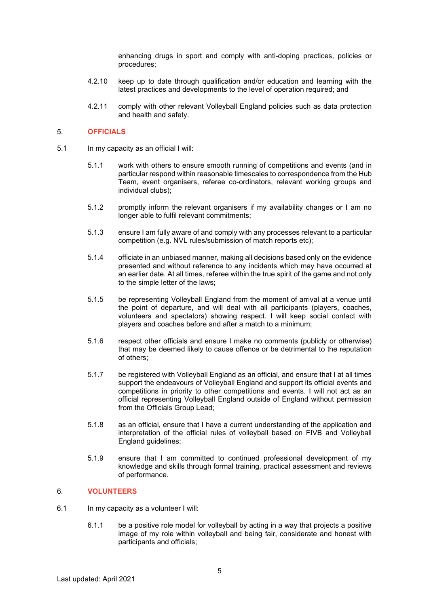enhancing drugs in sport and comply with anti-doping practices, policies or procedures;

- 4.2.10 keep up to date through qualification and/or education and learning with the latest practices and developments to the level of operation required; and
- 4.2.11 comply with other relevant Volleyball England policies such as data protection and health and safety.

#### 5. **OFFICIALS**

- 5.1 In my capacity as an official I will:
	- 5.1.1 work with others to ensure smooth running of competitions and events (and in particular respond within reasonable timescales to correspondence from the Hub Team, event organisers, referee co-ordinators, relevant working groups and individual clubs);
	- 5.1.2 promptly inform the relevant organisers if my availability changes or I am no longer able to fulfil relevant commitments;
	- 5.1.3 ensure I am fully aware of and comply with any processes relevant to a particular competition (e.g. NVL rules/submission of match reports etc);
	- 5.1.4 officiate in an unbiased manner, making all decisions based only on the evidence presented and without reference to any incidents which may have occurred at an earlier date. At all times, referee within the true spirit of the game and not only to the simple letter of the laws;
	- 5.1.5 be representing Volleyball England from the moment of arrival at a venue until the point of departure, and will deal with all participants (players, coaches, volunteers and spectators) showing respect. I will keep social contact with players and coaches before and after a match to a minimum;
	- 5.1.6 respect other officials and ensure I make no comments (publicly or otherwise) that may be deemed likely to cause offence or be detrimental to the reputation of others;
	- 5.1.7 be registered with Volleyball England as an official, and ensure that I at all times support the endeavours of Volleyball England and support its official events and competitions in priority to other competitions and events. I will not act as an official representing Volleyball England outside of England without permission from the Officials Group Lead;
	- 5.1.8 as an official, ensure that I have a current understanding of the application and interpretation of the official rules of volleyball based on FIVB and Volleyball England guidelines;
	- 5.1.9 ensure that I am committed to continued professional development of my knowledge and skills through formal training, practical assessment and reviews of performance.

#### 6. **VOLUNTEERS**

- 6.1 In my capacity as a volunteer I will:
	- 6.1.1 be a positive role model for volleyball by acting in a way that projects a positive image of my role within volleyball and being fair, considerate and honest with participants and officials;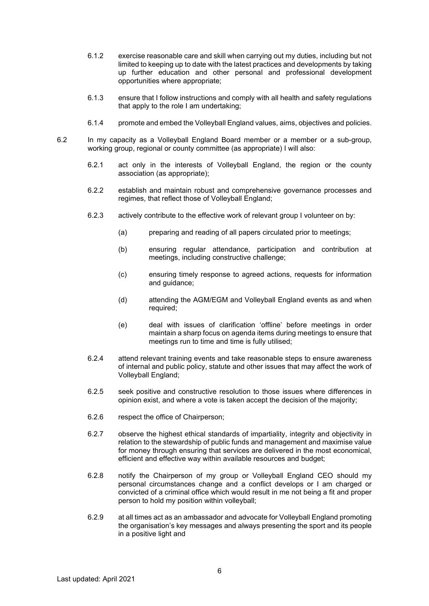- 6.1.2 exercise reasonable care and skill when carrying out my duties, including but not limited to keeping up to date with the latest practices and developments by taking up further education and other personal and professional development opportunities where appropriate;
- 6.1.3 ensure that I follow instructions and comply with all health and safety regulations that apply to the role I am undertaking;
- 6.1.4 promote and embed the Volleyball England values, aims, objectives and policies.
- 6.2 In my capacity as a Volleyball England Board member or a member or a sub-group, working group, regional or county committee (as appropriate) I will also:
	- 6.2.1 act only in the interests of Volleyball England, the region or the county association (as appropriate);
	- 6.2.2 establish and maintain robust and comprehensive governance processes and regimes, that reflect those of Volleyball England;
	- 6.2.3 actively contribute to the effective work of relevant group I volunteer on by:
		- (a) preparing and reading of all papers circulated prior to meetings;
		- (b) ensuring regular attendance, participation and contribution at meetings, including constructive challenge;
		- (c) ensuring timely response to agreed actions, requests for information and guidance;
		- (d) attending the AGM/EGM and Volleyball England events as and when required;
		- (e) deal with issues of clarification 'offline' before meetings in order maintain a sharp focus on agenda items during meetings to ensure that meetings run to time and time is fully utilised;
	- 6.2.4 attend relevant training events and take reasonable steps to ensure awareness of internal and public policy, statute and other issues that may affect the work of Volleyball England;
	- 6.2.5 seek positive and constructive resolution to those issues where differences in opinion exist, and where a vote is taken accept the decision of the majority;
	- 6.2.6 respect the office of Chairperson;
	- 6.2.7 observe the highest ethical standards of impartiality, integrity and objectivity in relation to the stewardship of public funds and management and maximise value for money through ensuring that services are delivered in the most economical, efficient and effective way within available resources and budget;
	- 6.2.8 notify the Chairperson of my group or Volleyball England CEO should my personal circumstances change and a conflict develops or I am charged or convicted of a criminal office which would result in me not being a fit and proper person to hold my position within volleyball;
	- 6.2.9 at all times act as an ambassador and advocate for Volleyball England promoting the organisation's key messages and always presenting the sport and its people in a positive light and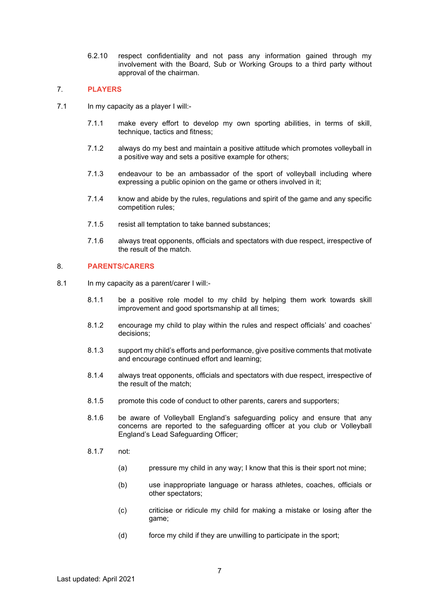6.2.10 respect confidentiality and not pass any information gained through my involvement with the Board, Sub or Working Groups to a third party without approval of the chairman.

#### 7. **PLAYERS**

- 7.1 In my capacity as a player I will:-
	- 7.1.1 make every effort to develop my own sporting abilities, in terms of skill, technique, tactics and fitness;
	- 7.1.2 always do my best and maintain a positive attitude which promotes volleyball in a positive way and sets a positive example for others;
	- 7.1.3 endeavour to be an ambassador of the sport of volleyball including where expressing a public opinion on the game or others involved in it;
	- 7.1.4 know and abide by the rules, regulations and spirit of the game and any specific competition rules;
	- 7.1.5 resist all temptation to take banned substances;
	- 7.1.6 always treat opponents, officials and spectators with due respect, irrespective of the result of the match.

### 8. **PARENTS/CARERS**

- 8.1 In my capacity as a parent/carer I will:-
	- 8.1.1 be a positive role model to my child by helping them work towards skill improvement and good sportsmanship at all times;
	- 8.1.2 encourage my child to play within the rules and respect officials' and coaches' decisions;
	- 8.1.3 support my child's efforts and performance, give positive comments that motivate and encourage continued effort and learning;
	- 8.1.4 always treat opponents, officials and spectators with due respect, irrespective of the result of the match;
	- 8.1.5 promote this code of conduct to other parents, carers and supporters;
	- 8.1.6 be aware of Volleyball England's safeguarding policy and ensure that any concerns are reported to the safeguarding officer at you club or Volleyball England's Lead Safeguarding Officer;
	- 8.1.7 not:
		- (a) pressure my child in any way; I know that this is their sport not mine;
		- (b) use inappropriate language or harass athletes, coaches, officials or other spectators;
		- (c) criticise or ridicule my child for making a mistake or losing after the game;
		- (d) force my child if they are unwilling to participate in the sport;